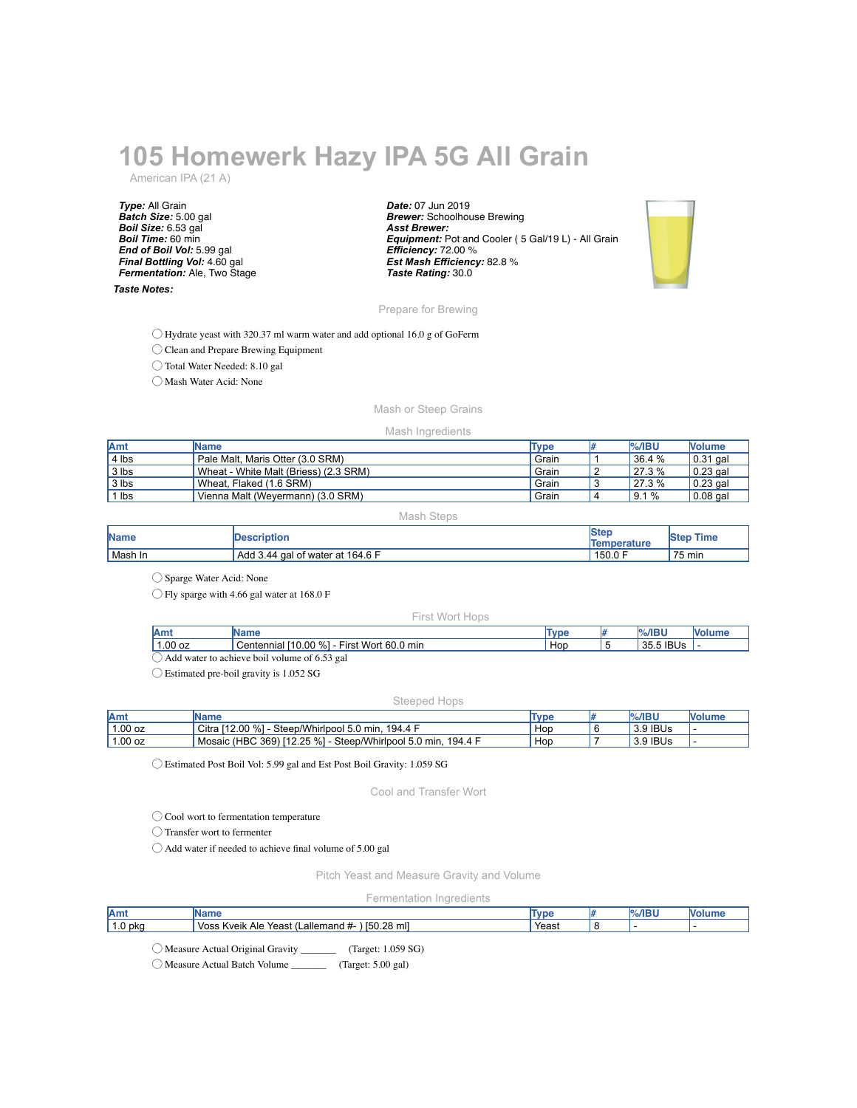# **105 Homewerk Hazy IPA 5G All Grain**

American IPA (21 A)

*Type:* All Grain *Batch Size:* 5.00 gal *Boil Size:* 6.53 gal *Boil Time:* 60 min *End of Boil Vol:* 5.99 gal *Final Bottling Vol:* 4.60 gal *Fermentation:* Ale, Two Stage

*Taste Notes:*

*Date:* 07 Jun 2019 *Brewer:* Schoolhouse Brewing *Asst Brewer: Equipment:* Pot and Cooler ( 5 Gal/19 L) - All Grain *Efficiency:* 72.00 % *Est Mash Efficiency:* 82.8 % *Taste Rating:* 30.0



Prepare for Brewing

◯ Hydrate yeast with 320.37 ml warm water and add optional 16.0 g of GoFerm

◯ Clean and Prepare Brewing Equipment

◯ Total Water Needed: 8.10 gal

◯ Mash Water Acid: None

### Mash or Steep Grains

#### Mash Ingredients

| Amt     | <b>IName</b>                          | Type  | $\frac{9}{6}$ /IBU | <b>Nolume</b> |
|---------|---------------------------------------|-------|--------------------|---------------|
| $4$ lbs | Pale Malt. Maris Otter (3.0 SRM)      | Grain | 36.4 %             | 0.31 gal      |
| $3$ lbs | Wheat - White Malt (Briess) (2.3 SRM) | Grain | 27.3 %             | $0.23$ gal    |
| $3$ lbs | Wheat. Flaked (1.6 SRM)               | Grain | 27.3 %             | $0.23$ gal    |
| l Ibs   | Vienna Malt (Weyermann) (3.0 SRM)     | Grain | 9.1%               | $0.08$ gal    |

Mash Steps

| <b>Name</b> | <b>Description</b>               | Ster<br><b>Temperature</b> | <b>Time</b><br><b>Step</b> |
|-------------|----------------------------------|----------------------------|----------------------------|
| Mash In     | Add 3.44 gal of water at 164.6 F | 150.0 F                    | 75 min                     |

◯ Sparge Water Acid: None

◯ Fly sparge with 4.66 gal water at 168.0 F

#### First Wort Hops

| <b>AIIR</b> |                                                         | <b>VDE</b> | $ol$ Bl'<br>$\mathbf{I} \circ \mathbf{I}$       |  |
|-------------|---------------------------------------------------------|------------|-------------------------------------------------|--|
| 1.00 oz     | %<br>Wort 60<br>0.00<br>min<br>⊢ırs.<br>∠entennıal<br>. | Hop        | <b>IRLI</b><br><b>25</b><br><b>IBUS</b><br>ບບ.ບ |  |
| Add         | $6.53$ $921$<br>l water to achieve boil volume of i     |            |                                                 |  |

◯ Estimated pre-boil gravity is 1.052 SG

#### Steeped Hops

| Amt       | <b>IName</b>                                                          | <b>Vpe</b> | $%$ /IBU | <b>Nolume</b> |
|-----------|-----------------------------------------------------------------------|------------|----------|---------------|
| $1.00$ oz | Citra [12.00 %] -<br>194.4 F<br>Steep/Whirlpool 5.0 min.              | Hop        | 3.9 IBUs |               |
| $1.00$ oz | Mosaic (HBC 369) [12.25 %] -<br>- Steep/Whirlpool 5.0 min,<br>194.4 F | Hop        | 3.9 IBUs |               |

◯ Estimated Post Boil Vol: 5.99 gal and Est Post Boil Gravity: 1.059 SG

Cool and Transfer Wort

◯ Cool wort to fermentation temperature

◯ Transfer wort to fermenter

◯ Add water if needed to achieve final volume of 5.00 gal

Pitch Yeast and Measure Gravity and Volume

#### Fermentation Ingredients

| 'Amt                  | ٦m٤                                                              | Tyn           | 10/M <sub>F</sub><br>---- | v |
|-----------------------|------------------------------------------------------------------|---------------|---------------------------|---|
| 0 pkq<br>$\cdot\cdot$ | mll<br>[50.28]<br>Voss<br>(Lallemand #<br>Kveik.<br>Yeast<br>Ale | Voor<br>ισαδι |                           |   |

◯ Measure Actual Original Gravity \_\_\_\_\_\_\_ (Target: 1.059 SG)

◯ Measure Actual Batch Volume \_\_\_\_\_\_\_ (Target: 5.00 gal)